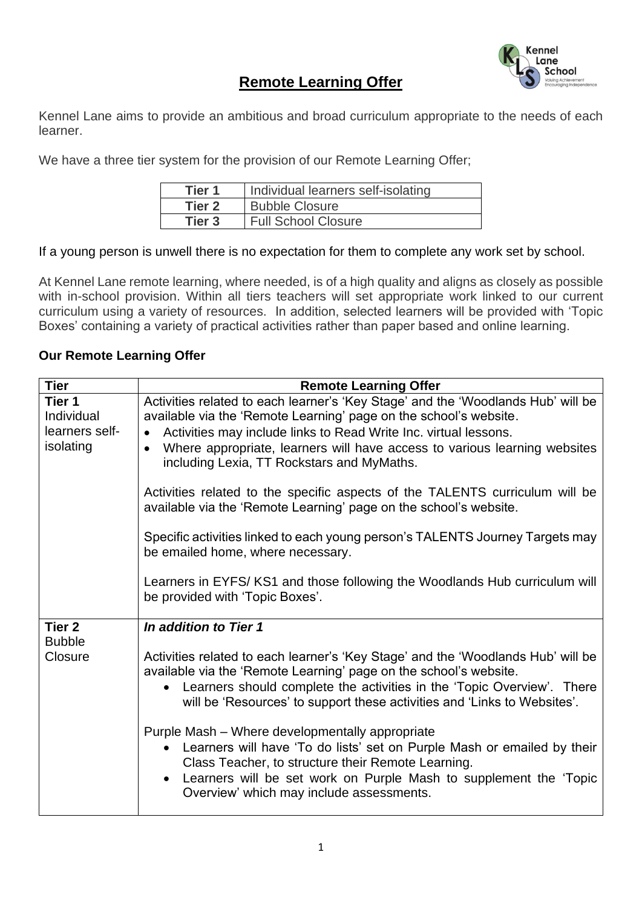

## **Remote Learning Offer**

Kennel Lane aims to provide an ambitious and broad curriculum appropriate to the needs of each learner.

We have a three tier system for the provision of our Remote Learning Offer;

| Tier 1 | Individual learners self-isolating |
|--------|------------------------------------|
| Tier 2 | <b>Bubble Closure</b>              |
| Tier 3 | Full School Closure                |

## If a young person is unwell there is no expectation for them to complete any work set by school.

At Kennel Lane remote learning, where needed, is of a high quality and aligns as closely as possible with in-school provision. Within all tiers teachers will set appropriate work linked to our current curriculum using a variety of resources. In addition, selected learners will be provided with 'Topic Boxes' containing a variety of practical activities rather than paper based and online learning.

## **Our Remote Learning Offer**

| <b>Tier</b>              | <b>Remote Learning Offer</b>                                                                                                                                                                                                                                                                                |
|--------------------------|-------------------------------------------------------------------------------------------------------------------------------------------------------------------------------------------------------------------------------------------------------------------------------------------------------------|
| Tier 1                   | Activities related to each learner's 'Key Stage' and the 'Woodlands Hub' will be                                                                                                                                                                                                                            |
| Individual               | available via the 'Remote Learning' page on the school's website.                                                                                                                                                                                                                                           |
| learners self-           | Activities may include links to Read Write Inc. virtual lessons.<br>$\bullet$                                                                                                                                                                                                                               |
| isolating                | Where appropriate, learners will have access to various learning websites<br>$\bullet$<br>including Lexia, TT Rockstars and MyMaths.                                                                                                                                                                        |
|                          | Activities related to the specific aspects of the TALENTS curriculum will be<br>available via the 'Remote Learning' page on the school's website.                                                                                                                                                           |
|                          | Specific activities linked to each young person's TALENTS Journey Targets may<br>be emailed home, where necessary.                                                                                                                                                                                          |
|                          | Learners in EYFS/ KS1 and those following the Woodlands Hub curriculum will<br>be provided with 'Topic Boxes'.                                                                                                                                                                                              |
| Tier <sub>2</sub>        | In addition to Tier 1                                                                                                                                                                                                                                                                                       |
| <b>Bubble</b><br>Closure | Activities related to each learner's 'Key Stage' and the 'Woodlands Hub' will be<br>available via the 'Remote Learning' page on the school's website.<br>Learners should complete the activities in the 'Topic Overview'. There<br>will be 'Resources' to support these activities and 'Links to Websites'. |
|                          | Purple Mash - Where developmentally appropriate<br>Learners will have 'To do lists' set on Purple Mash or emailed by their<br>Class Teacher, to structure their Remote Learning.<br>• Learners will be set work on Purple Mash to supplement the 'Topic<br>Overview' which may include assessments.         |